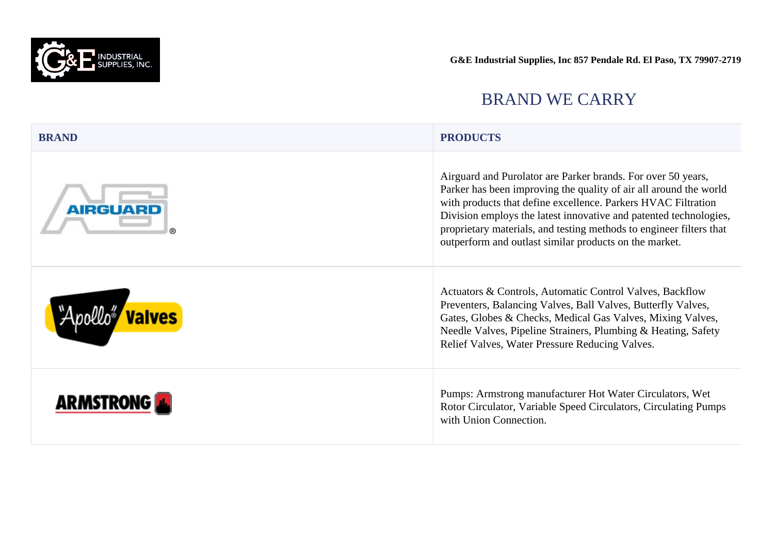

| <b>BRAND</b>           | <b>PRODUCTS</b>                                                                                                                                                                                                                                                                                                                                                                                          |
|------------------------|----------------------------------------------------------------------------------------------------------------------------------------------------------------------------------------------------------------------------------------------------------------------------------------------------------------------------------------------------------------------------------------------------------|
| <b>AIRGUARD</b>        | Airguard and Purolator are Parker brands. For over 50 years,<br>Parker has been improving the quality of air all around the world<br>with products that define excellence. Parkers HVAC Filtration<br>Division employs the latest innovative and patented technologies,<br>proprietary materials, and testing methods to engineer filters that<br>outperform and outlast similar products on the market. |
| "Apollo" <b>Valves</b> | Actuators & Controls, Automatic Control Valves, Backflow<br>Preventers, Balancing Valves, Ball Valves, Butterfly Valves,<br>Gates, Globes & Checks, Medical Gas Valves, Mixing Valves,<br>Needle Valves, Pipeline Strainers, Plumbing & Heating, Safety<br>Relief Valves, Water Pressure Reducing Valves.                                                                                                |
| <b>ARMSTRONG</b>       | Pumps: Armstrong manufacturer Hot Water Circulators, Wet<br>Rotor Circulator, Variable Speed Circulators, Circulating Pumps<br>with Union Connection.                                                                                                                                                                                                                                                    |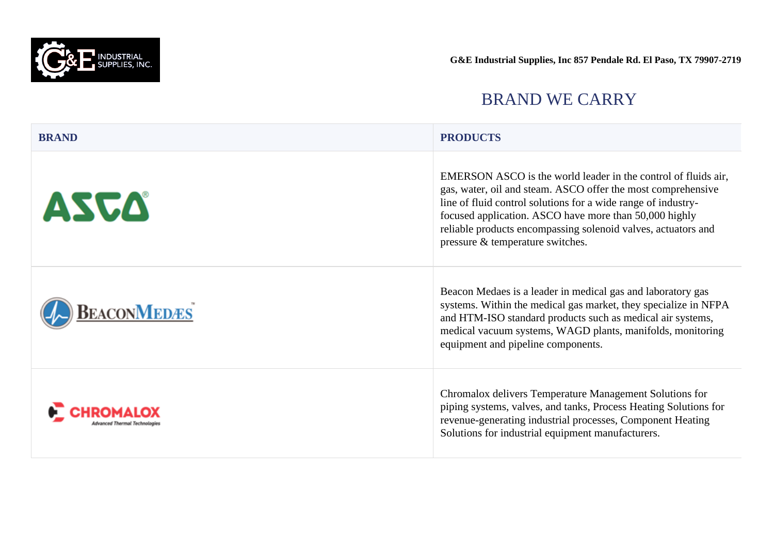

| <b>BRAND</b>       | <b>PRODUCTS</b>                                                                                                                                                                                                                                                                                                                                                |
|--------------------|----------------------------------------------------------------------------------------------------------------------------------------------------------------------------------------------------------------------------------------------------------------------------------------------------------------------------------------------------------------|
| ASCA               | EMERSON ASCO is the world leader in the control of fluids air,<br>gas, water, oil and steam. ASCO offer the most comprehensive<br>line of fluid control solutions for a wide range of industry-<br>focused application. ASCO have more than 50,000 highly<br>reliable products encompassing solenoid valves, actuators and<br>pressure & temperature switches. |
| <b>BEACONMEDES</b> | Beacon Medaes is a leader in medical gas and laboratory gas<br>systems. Within the medical gas market, they specialize in NFPA<br>and HTM-ISO standard products such as medical air systems,<br>medical vacuum systems, WAGD plants, manifolds, monitoring<br>equipment and pipeline components.                                                               |
|                    | Chromalox delivers Temperature Management Solutions for<br>piping systems, valves, and tanks, Process Heating Solutions for<br>revenue-generating industrial processes, Component Heating<br>Solutions for industrial equipment manufacturers.                                                                                                                 |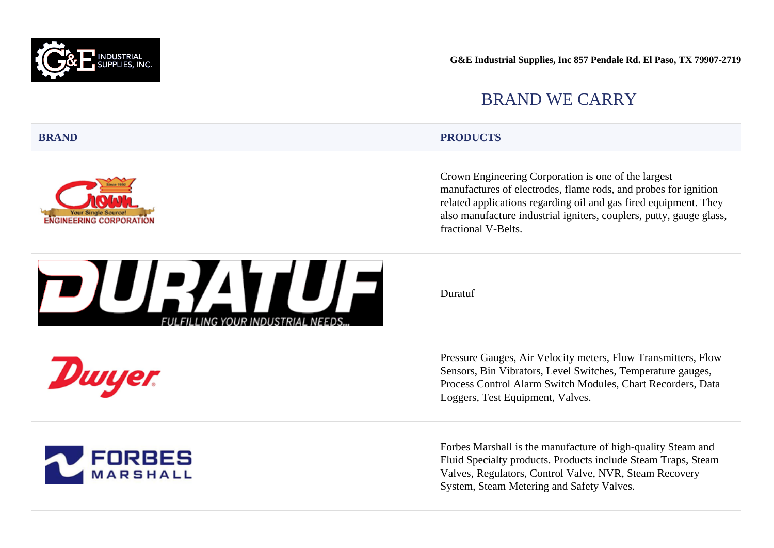

#### BRAND WE CARRY

#### **BRAND PRODUCTS**

Crown Engineering Corporation is one of the largest manufactures of electrodes, flame rods, and probes for ignition related applications regarding oil and gas fired equipment. They also manufacture industrial igniters, couplers, putty, gauge glass, fractional V-Belts.

Duratuf

Pressure Gauges, Air Velocity meters, Flow Transmitters, Flow Sensors, Bin Vibrators, Level Switches, Temperature gauges, Process Control Alarm Switch Modules, Chart Recorders, Data Loggers, Test Equipment, Valves.

Forbes Marshall is the manufacture of high-quality Steam and Fluid Specialty products. Products include Steam Traps, Steam Valves, Regulators, Control Valve, NVR, Steam Recovery System, Steam Metering and Safety Valves.







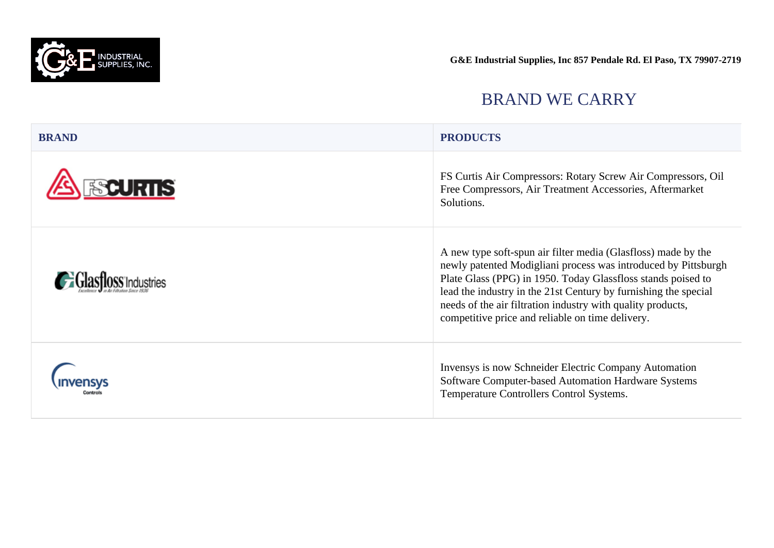

| <b>BRAND</b>    | <b>PRODUCTS</b>                                                                                                                                                                                                                                                                                                                                                                       |
|-----------------|---------------------------------------------------------------------------------------------------------------------------------------------------------------------------------------------------------------------------------------------------------------------------------------------------------------------------------------------------------------------------------------|
| <b>FSCURTIS</b> | FS Curtis Air Compressors: Rotary Screw Air Compressors, Oil<br>Free Compressors, Air Treatment Accessories, Aftermarket<br>Solutions.                                                                                                                                                                                                                                                |
|                 | A new type soft-spun air filter media (Glasfloss) made by the<br>newly patented Modigliani process was introduced by Pittsburgh<br>Plate Glass (PPG) in 1950. Today Glassfloss stands poised to<br>lead the industry in the 21st Century by furnishing the special<br>needs of the air filtration industry with quality products,<br>competitive price and reliable on time delivery. |
|                 | Invensys is now Schneider Electric Company Automation<br>Software Computer-based Automation Hardware Systems<br>Temperature Controllers Control Systems.                                                                                                                                                                                                                              |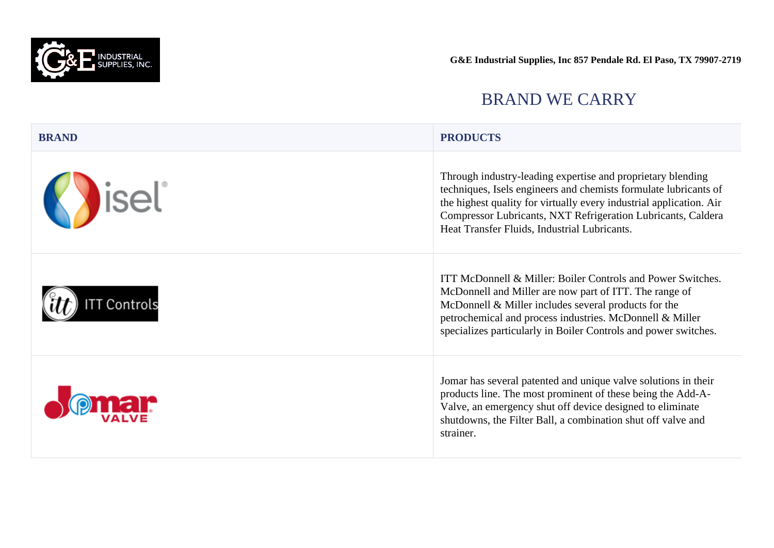

| <b>BRAND</b>             | <b>PRODUCTS</b>                                                                                                                                                                                                                                                                                                        |
|--------------------------|------------------------------------------------------------------------------------------------------------------------------------------------------------------------------------------------------------------------------------------------------------------------------------------------------------------------|
| <b>Katalie Strategie</b> | Through industry-leading expertise and proprietary blending<br>techniques, Isels engineers and chemists formulate lubricants of<br>the highest quality for virtually every industrial application. Air<br>Compressor Lubricants, NXT Refrigeration Lubricants, Caldera<br>Heat Transfer Fluids, Industrial Lubricants. |
| <b>TT Controls</b>       | ITT McDonnell & Miller: Boiler Controls and Power Switches.<br>McDonnell and Miller are now part of ITT. The range of<br>McDonnell & Miller includes several products for the<br>petrochemical and process industries. McDonnell & Miller<br>specializes particularly in Boiler Controls and power switches.           |
|                          | Jomar has several patented and unique valve solutions in their<br>products line. The most prominent of these being the Add-A-<br>Valve, an emergency shut off device designed to eliminate<br>shutdowns, the Filter Ball, a combination shut off valve and<br>strainer.                                                |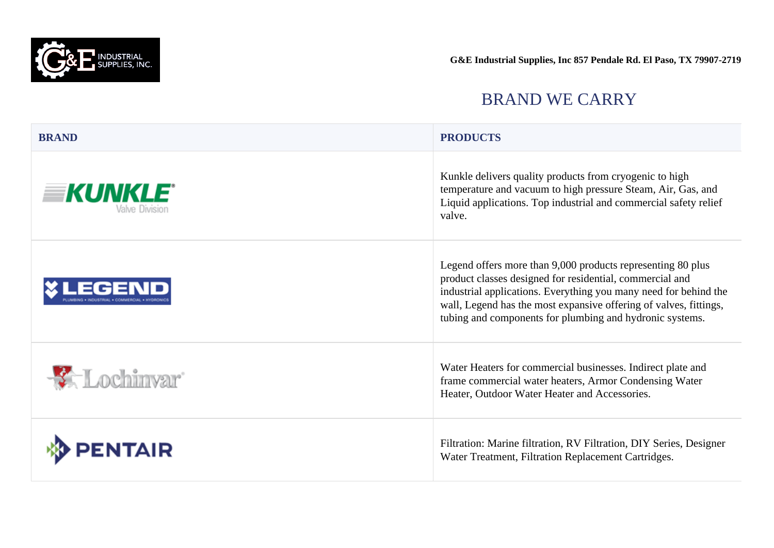

| <b>BRAND</b>                             | <b>PRODUCTS</b>                                                                                                                                                                                                                                                                                                              |
|------------------------------------------|------------------------------------------------------------------------------------------------------------------------------------------------------------------------------------------------------------------------------------------------------------------------------------------------------------------------------|
| <b>EKUNKLE</b><br><i>l</i> alve Division | Kunkle delivers quality products from cryogenic to high<br>temperature and vacuum to high pressure Steam, Air, Gas, and<br>Liquid applications. Top industrial and commercial safety relief<br>valve.                                                                                                                        |
|                                          | Legend offers more than 9,000 products representing 80 plus<br>product classes designed for residential, commercial and<br>industrial applications. Everything you many need for behind the<br>wall, Legend has the most expansive offering of valves, fittings,<br>tubing and components for plumbing and hydronic systems. |
| <b>X</b> Lochinvar                       | Water Heaters for commercial businesses. Indirect plate and<br>frame commercial water heaters, Armor Condensing Water<br>Heater, Outdoor Water Heater and Accessories.                                                                                                                                                       |
| <b>ENTAIR</b>                            | Filtration: Marine filtration, RV Filtration, DIY Series, Designer<br>Water Treatment, Filtration Replacement Cartridges.                                                                                                                                                                                                    |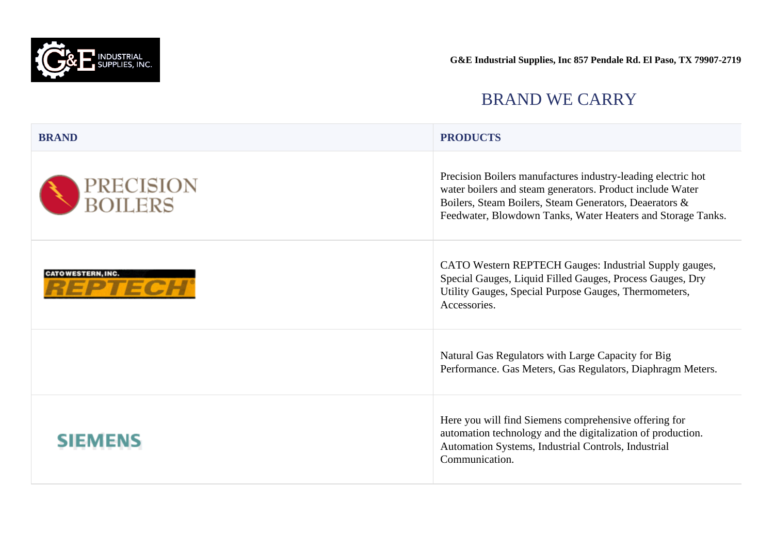

| <b>BRAND</b>                        | <b>PRODUCTS</b>                                                                                                                                                                                                                                    |
|-------------------------------------|----------------------------------------------------------------------------------------------------------------------------------------------------------------------------------------------------------------------------------------------------|
| PRECISION<br>BOILERS                | Precision Boilers manufactures industry-leading electric hot<br>water boilers and steam generators. Product include Water<br>Boilers, Steam Boilers, Steam Generators, Deaerators &<br>Feedwater, Blowdown Tanks, Water Heaters and Storage Tanks. |
| <b>CATOWESTERN, INC.</b><br>3 2 T 2 | CATO Western REPTECH Gauges: Industrial Supply gauges,<br>Special Gauges, Liquid Filled Gauges, Process Gauges, Dry<br>Utility Gauges, Special Purpose Gauges, Thermometers,<br>Accessories.                                                       |
|                                     | Natural Gas Regulators with Large Capacity for Big<br>Performance. Gas Meters, Gas Regulators, Diaphragm Meters.                                                                                                                                   |
| SIEMENS                             | Here you will find Siemens comprehensive offering for<br>automation technology and the digitalization of production.<br>Automation Systems, Industrial Controls, Industrial<br>Communication.                                                      |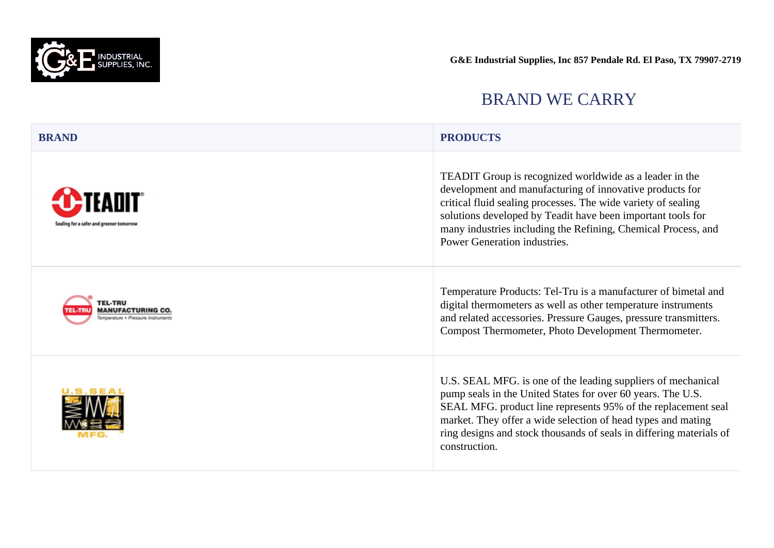

#### BRAND WE CARRY

| <b>BRAND</b> | <b>PRODUCTS</b> |  |
|--------------|-----------------|--|
|              |                 |  |

TEADIT Group is recognized worldwide as a leader in the development and manufacturing of innovative products for critical fluid sealing processes. The wide variety of sealing solutions developed by Teadit have been important tools for many industries including the Refining, Chemical Process, and Power Generation industries.

Temperature Products: Tel-Tru is a manufacturer of bimetal and digital thermometers as well as other temperature instruments and related accessories. Pressure Gauges, pressure transmitters. Compost Thermometer, Photo Development Thermometer.

U.S. SEAL MFG. is one of the leading suppliers of mechanical pump seals in the United States for over 60 years. The U.S. SEAL MFG. product line represents 95% of the replacement seal market. They offer a wide selection of head types and mating ring designs and stock thousands of seals in differing materials of construction.